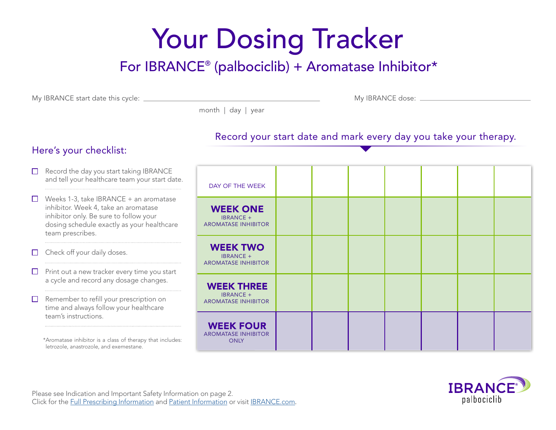# Your Dosing Tracker

# For IBRANCE® (palbociclib) + Aromatase Inhibitor\*

My IBRANCE start date this cycle: My IBRANCE dose:

month | day | year

#### Record your start date and mark every day you take your therapy.

### Here's your checklist:

| $\Box$           | Record the day you start taking IBRANCE<br>and tell your healthcare team your start date.                                                                                                  | DAY OF THE WEEK                                                     |  |  |  |  |
|------------------|--------------------------------------------------------------------------------------------------------------------------------------------------------------------------------------------|---------------------------------------------------------------------|--|--|--|--|
| $\Box$           | Weeks 1-3, take IBRANCE + an aromatase<br>inhibitor. Week 4, take an aromatase<br>inhibitor only. Be sure to follow your<br>dosing schedule exactly as your healthcare<br>team prescribes. | <b>WEEK ONE</b><br><b>IBRANCE +</b><br><b>AROMATASE INHIBITOR</b>   |  |  |  |  |
| $\Box$           | Check off your daily doses.                                                                                                                                                                | <b>WEEK TWO</b><br><b>IBRANCE +</b><br><b>AROMATASE INHIBITOR</b>   |  |  |  |  |
| $\Box$<br>$\Box$ | Print out a new tracker every time you start<br>a cycle and record any dosage changes.<br>Remember to refill your prescription on<br>time and always follow your healthcare                | <b>WEEK THREE</b><br><b>IBRANCE +</b><br><b>AROMATASE INHIBITOR</b> |  |  |  |  |
|                  | team's instructions.<br>*Aromatase inhibitor is a class of therapy that includes:<br>letrozole, anastrozole, and exemestane.                                                               | <b>WEEK FOUR</b><br><b>AROMATASE INHIBITOR</b><br><b>ONLY</b>       |  |  |  |  |